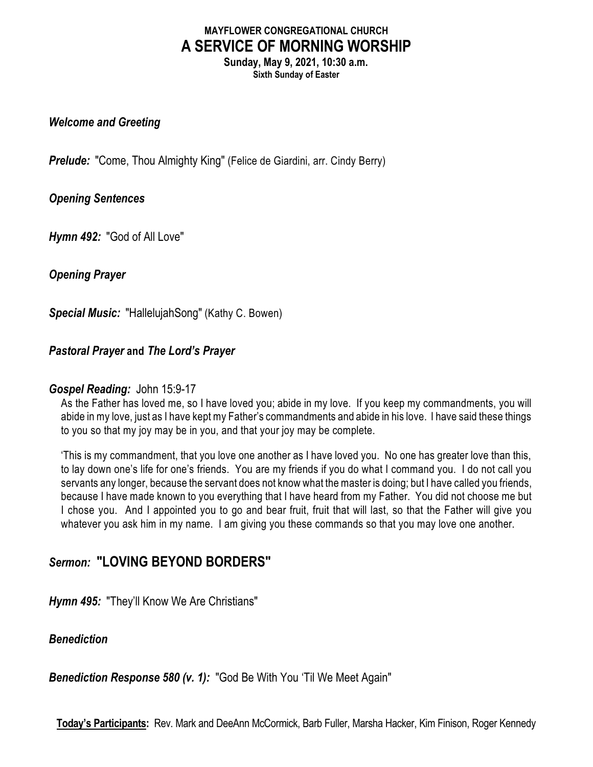## **MAYFLOWER CONGREGATIONAL CHURCH A SERVICE OF MORNING WORSHIP**

**Sunday, May 9, 2021, 10:30 a.m. Sixth Sunday of Easter**

#### *Welcome and Greeting*

**Prelude:** "Come, Thou Almighty King" (Felice de Giardini, arr. Cindy Berry)

#### *Opening Sentences*

*Hymn 492:* "God of All Love"

*Opening Prayer*

*Special Music:* "HallelujahSong" (Kathy C. Bowen)

#### *Pastoral Prayer* **and** *The Lord's Prayer*

#### *Gospel Reading:* John 15:9-17

As the Father has loved me, so I have loved you; abide in my love. If you keep my commandments, you will abide in my love, just as I have kept my Father's commandments and abide in his love. I have said these things to you so that my joy may be in you, and that your joy may be complete.

'This is my commandment, that you love one another as I have loved you. No one has greater love than this, to lay down one's life for one's friends. You are my friends if you do what I command you. I do not call you servants any longer, because the servant does not know what the master is doing; but I have called you friends, because I have made known to you everything that I have heard from my Father. You did not choose me but I chose you. And I appointed you to go and bear fruit, fruit that will last, so that the Father will give you whatever you ask him in my name. I am giving you these commands so that you may love one another.

# *Sermon:* **"LOVING BEYOND BORDERS"**

*Hymn 495:* "They'll Know We Are Christians"

#### *Benediction*

*Benediction Response 580 (v. 1):* "God Be With You 'Til We Meet Again"

**Today's Participants:** Rev. Mark and DeeAnn McCormick, Barb Fuller, Marsha Hacker, Kim Finison, Roger Kennedy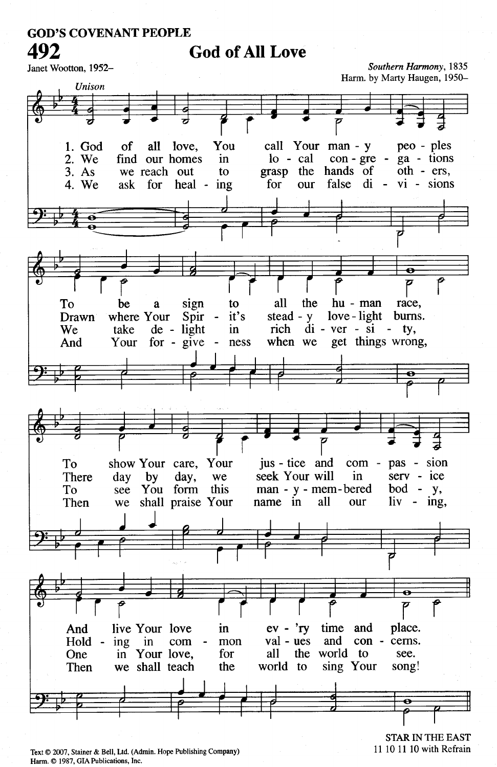# **God of All Love**

Janet Wootton, 1952-

Southern Harmony, 1835 Harm. by Marty Haugen, 1950-



Text © 2007, Stainer & Bell, Ltd. (Admin. Hope Publishing Company) Harm. C 1987, GIA Publications, Inc.

**STAR IN THE EAST** 11 10 11 10 with Refrain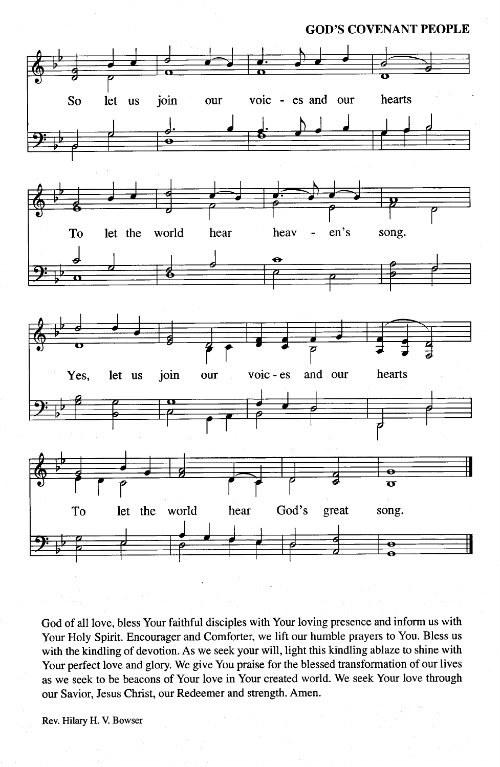

God of all love, bless Your faithful disciples with Your loving presence and inform us with Your Holy Spirit. Encourager and Comforter, we lift our humble prayers to You. Bless us with the kindling of devotion. As we seek your will, light this kindling ablaze to shine with Your perfect love and glory. We give You praise for the blessed transformation of our lives as we seek to be beacons of Your love in Your created world. We seek Your love through our Savior, Jesus Christ, our Redeemer and strength. Amen.

Rev. Hilary H. V. Bowser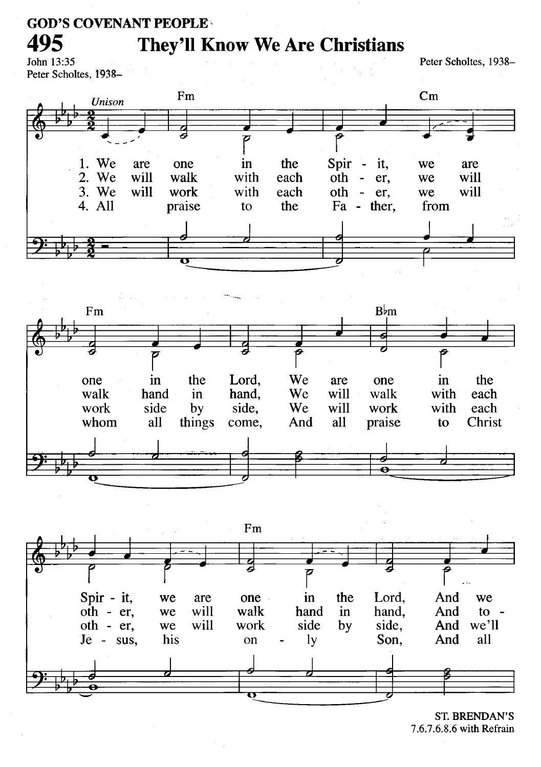# **They'll Know We Are Christians**

John 13:35 Peter Scholtes, 1938-

495

Peter Scholtes, 1938-







**ST. BRENDAN'S** 7.6.7.6.8.6 with Refrain